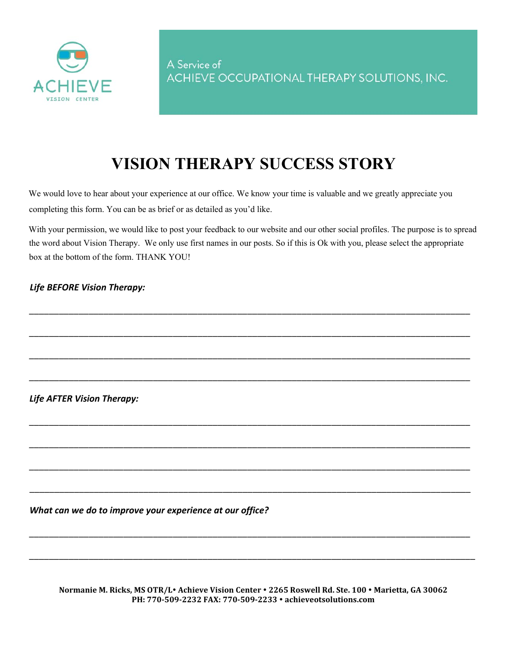

## **VISION THERAPY SUCCESS STORY**

We would love to hear about your experience at our office. We know your time is valuable and we greatly appreciate you completing this form. You can be as brief or as detailed as you'd like.

With your permission, we would like to post your feedback to our website and our other social profiles. The purpose is to spread the word about Vision Therapy. We only use first names in our posts. So if this is Ok with you, please select the appropriate box at the bottom of the form. THANK YOU!

\_\_\_\_\_\_\_\_\_\_\_\_\_\_\_\_\_\_\_\_\_\_\_\_\_\_\_\_\_\_\_\_\_\_\_\_\_\_\_\_\_\_\_\_\_\_\_\_\_\_\_\_\_\_\_\_\_\_\_\_\_\_\_\_\_\_\_\_\_\_\_\_\_\_\_\_\_\_\_\_\_\_\_\_\_\_\_\_\_

\_\_\_\_\_\_\_\_\_\_\_\_\_\_\_\_\_\_\_\_\_\_\_\_\_\_\_\_\_\_\_\_\_\_\_\_\_\_\_\_\_\_\_\_\_\_\_\_\_\_\_\_\_\_\_\_\_\_\_\_\_\_\_\_\_\_\_\_\_\_\_\_\_\_\_\_\_\_\_\_\_\_\_\_\_\_\_\_\_

\_\_\_\_\_\_\_\_\_\_\_\_\_\_\_\_\_\_\_\_\_\_\_\_\_\_\_\_\_\_\_\_\_\_\_\_\_\_\_\_\_\_\_\_\_\_\_\_\_\_\_\_\_\_\_\_\_\_\_\_\_\_\_\_\_\_\_\_\_\_\_\_\_\_\_\_\_\_\_\_\_\_\_\_\_\_\_\_\_

\_\_\_\_\_\_\_\_\_\_\_\_\_\_\_\_\_\_\_\_\_\_\_\_\_\_\_\_\_\_\_\_\_\_\_\_\_\_\_\_\_\_\_\_\_\_\_\_\_\_\_\_\_\_\_\_\_\_\_\_\_\_\_\_\_\_\_\_\_\_\_\_\_\_\_\_\_\_\_\_\_\_\_\_\_\_\_\_\_

\_\_\_\_\_\_\_\_\_\_\_\_\_\_\_\_\_\_\_\_\_\_\_\_\_\_\_\_\_\_\_\_\_\_\_\_\_\_\_\_\_\_\_\_\_\_\_\_\_\_\_\_\_\_\_\_\_\_\_\_\_\_\_\_\_\_\_\_\_\_\_\_\_\_\_\_\_\_\_\_\_\_\_\_\_\_\_\_\_

\_\_\_\_\_\_\_\_\_\_\_\_\_\_\_\_\_\_\_\_\_\_\_\_\_\_\_\_\_\_\_\_\_\_\_\_\_\_\_\_\_\_\_\_\_\_\_\_\_\_\_\_\_\_\_\_\_\_\_\_\_\_\_\_\_\_\_\_\_\_\_\_\_\_\_\_\_\_\_\_\_\_\_\_\_\_\_\_\_

\_\_\_\_\_\_\_\_\_\_\_\_\_\_\_\_\_\_\_\_\_\_\_\_\_\_\_\_\_\_\_\_\_\_\_\_\_\_\_\_\_\_\_\_\_\_\_\_\_\_\_\_\_\_\_\_\_\_\_\_\_\_\_\_\_\_\_\_\_\_\_\_\_\_\_\_\_\_\_\_\_\_\_\_\_\_\_\_\_

\_\_\_\_\_\_\_\_\_\_\_\_\_\_\_\_\_\_\_\_\_\_\_\_\_\_\_\_\_\_\_\_\_\_\_\_\_\_\_\_\_\_\_\_\_\_\_\_\_\_\_\_\_\_\_\_\_\_\_\_\_\_\_\_\_\_\_\_\_\_\_\_\_\_\_\_\_\_\_\_\_\_\_\_\_\_\_\_\_

\_\_\_\_\_\_\_\_\_\_\_\_\_\_\_\_\_\_\_\_\_\_\_\_\_\_\_\_\_\_\_\_\_\_\_\_\_\_\_\_\_\_\_\_\_\_\_\_\_\_\_\_\_\_\_\_\_\_\_\_\_\_\_\_\_\_\_\_\_\_\_\_\_\_\_\_\_\_\_\_\_\_\_\_\_\_\_\_\_

\_\_\_\_\_\_\_\_\_\_\_\_\_\_\_\_\_\_\_\_\_\_\_\_\_\_\_\_\_\_\_\_\_\_\_\_\_\_\_\_\_\_\_\_\_\_\_\_\_\_\_\_\_\_\_\_\_\_\_\_\_\_\_\_\_\_\_\_\_\_\_\_\_\_\_\_\_\_\_\_\_\_\_\_\_\_\_\_\_\_

## *Life BEFORE Vision Therapy:*

*Life AFTER Vision Therapy:* 

*What can we do to improve your experience at our office?* 

**Normanie M. Ricks, MS OTR/L Achieve Vision Center 2265 Roswell Rd. Ste. 100 Marietta, GA 30062 PH: 770-509-2232 FAX: 770-509-2233 achieveotsolutions.com**